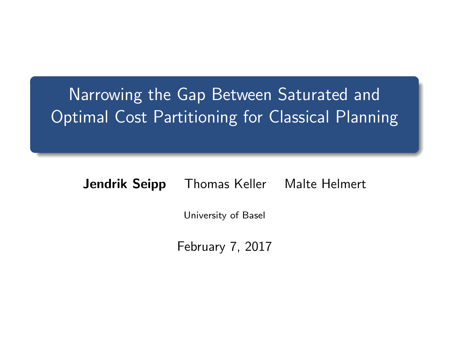# <span id="page-0-0"></span>Narrowing the Gap Between Saturated and Optimal Cost Partitioning for Classical Planning

Jendrik Seipp Thomas Keller Malte Helmert

University of Basel

February 7, 2017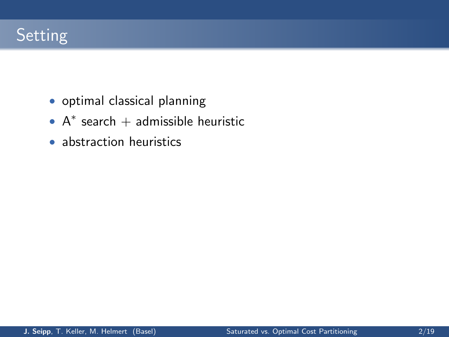

- optimal classical planning
- $A^*$  search + admissible heuristic
- abstraction heuristics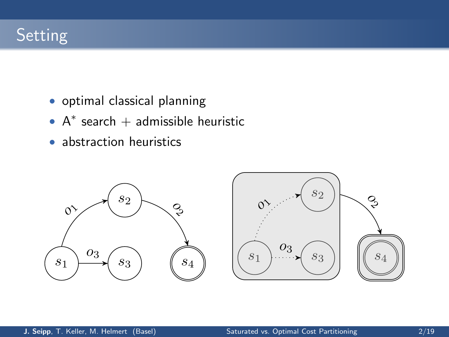## Setting

- optimal classical planning
- $A^*$  search + admissible heuristic
- abstraction heuristics

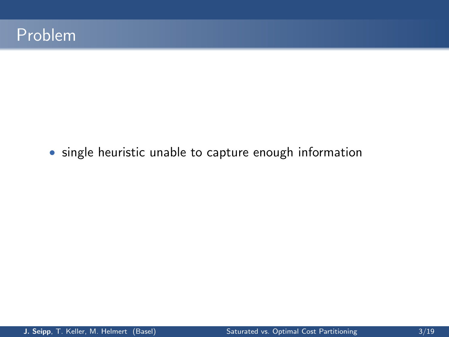• single heuristic unable to capture enough information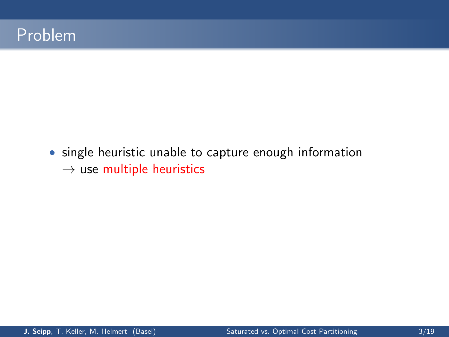• single heuristic unable to capture enough information  $\rightarrow$  use multiple heuristics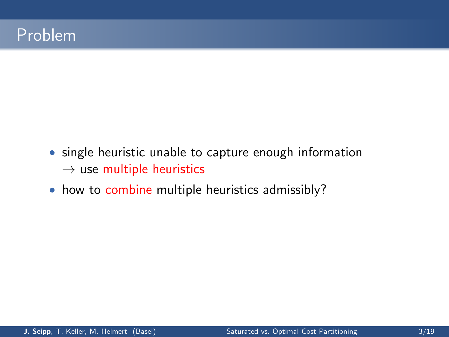- single heuristic unable to capture enough information  $\rightarrow$  use multiple heuristics
- how to combine multiple heuristics admissibly?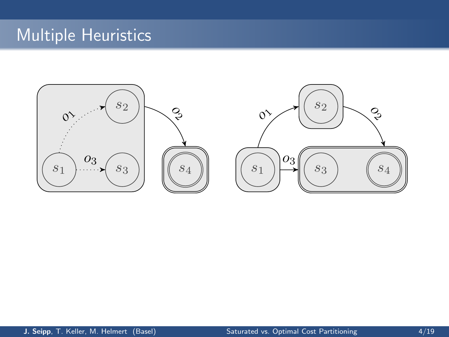## Multiple Heuristics

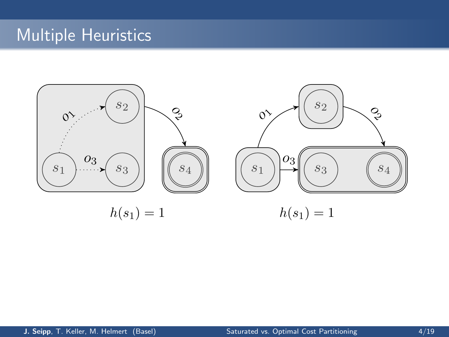## Multiple Heuristics

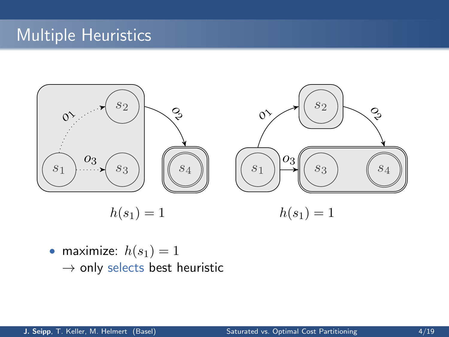## **Multiple Heuristics**



• maximize:  $h(s_1) = 1$  $\rightarrow$  only selects best heuristic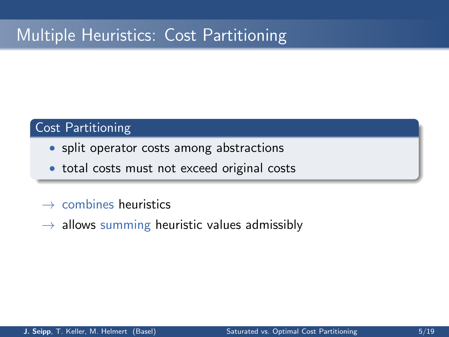## Multiple Heuristics: Cost Partitioning

#### Cost Partitioning

- split operator costs among abstractions
- total costs must not exceed original costs
- $\rightarrow$  combines heuristics
- $\rightarrow$  allows summing heuristic values admissibly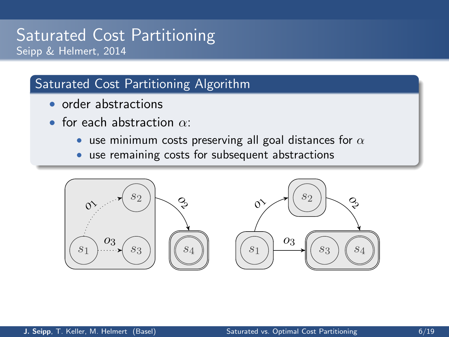#### Saturated Cost Partitioning Seipp & Helmert, 2014

#### Saturated Cost Partitioning Algorithm

- order abstractions
- for each abstraction  $\alpha$ .
	- use minimum costs preserving all goal distances for  $\alpha$
	- use remaining costs for subsequent abstractions

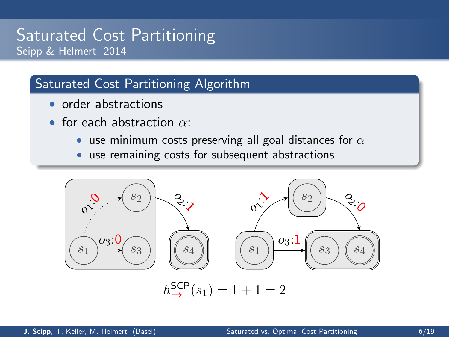#### Saturated Cost Partitioning Seipp & Helmert, 2014

#### Saturated Cost Partitioning Algorithm

- order abstractions
- for each abstraction  $\alpha$ .
	- use minimum costs preserving all goal distances for  $\alpha$
	- use remaining costs for subsequent abstractions

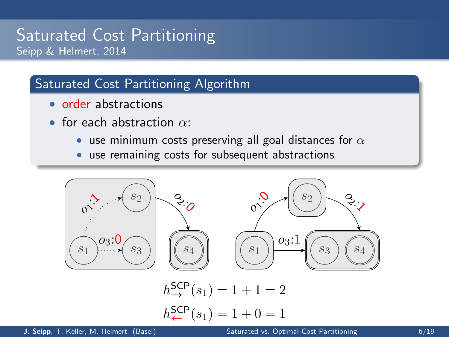### Saturated Cost Partitioning Seipp & Helmert, 2014

#### Saturated Cost Partitioning Algorithm

- order abstractions
- for each abstraction  $\alpha$ .
	- use minimum costs preserving all goal distances for  $\alpha$
	- use remaining costs for subsequent abstractions

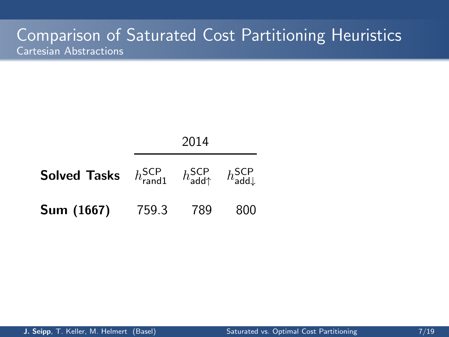|                                                                                                                                   | 2014       |  |     |  |  |  |
|-----------------------------------------------------------------------------------------------------------------------------------|------------|--|-----|--|--|--|
| <b>Solved Tasks</b> $h_{\text{rand1}}^{\text{SCP}}$ $h_{\text{add}\uparrow}^{\text{SCP}}$ $h_{\text{add}\downarrow}^{\text{SCP}}$ |            |  |     |  |  |  |
| Sum (1667)                                                                                                                        | 759.3  789 |  | 800 |  |  |  |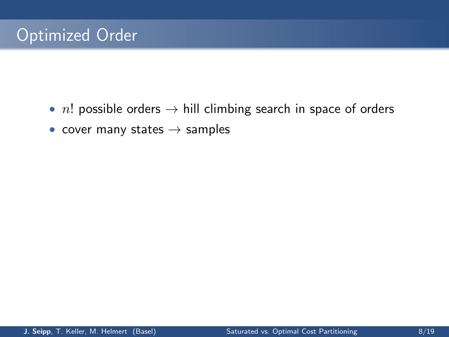- *n*! possible orders  $\rightarrow$  hill climbing search in space of orders
- cover many states  $\rightarrow$  samples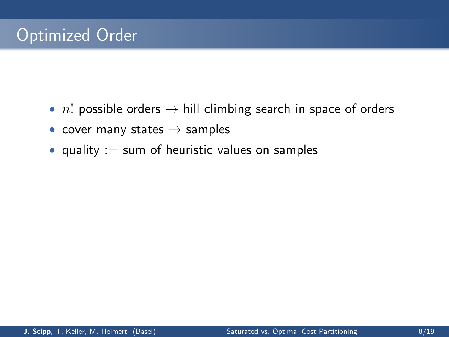- *n*! possible orders  $\rightarrow$  hill climbing search in space of orders
- cover many states  $\rightarrow$  samples
- quality  $:=$  sum of heuristic values on samples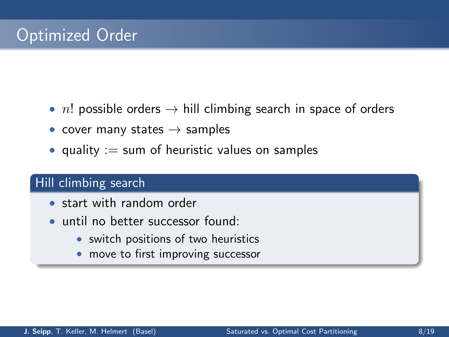- n! possible orders  $\rightarrow$  hill climbing search in space of orders
- cover many states  $\rightarrow$  samples
- quality  $:=$  sum of heuristic values on samples

#### Hill climbing search

- start with random order
- until no better successor found:
	- switch positions of two heuristics
	- move to first improving successor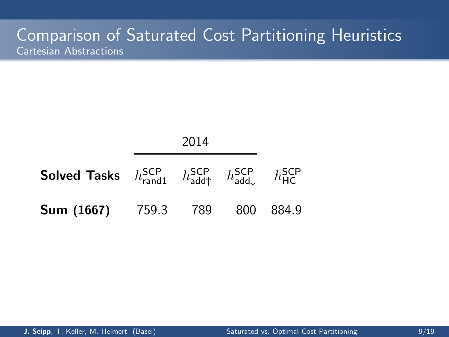|                                                                                                                                                                | 2014 |  |  |  |  |
|----------------------------------------------------------------------------------------------------------------------------------------------------------------|------|--|--|--|--|
| <b>Solved Tasks</b> $h_{\text{rand1}}^{\text{SCP}}$ $h_{\text{add}\uparrow}^{\text{SCP}}$ $h_{\text{add}\downarrow}^{\text{SCP}}$ $h_{\text{HC}}^{\text{SCP}}$ |      |  |  |  |  |
| <b>Sum (1667)</b> 759.3 789 800 884.9                                                                                                                          |      |  |  |  |  |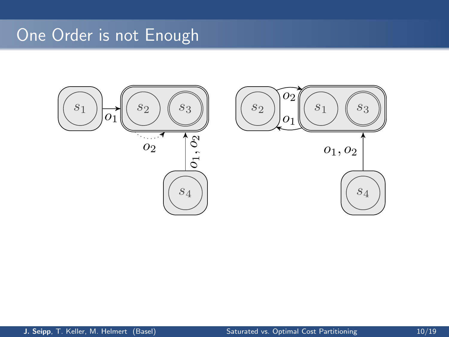## One Order is not Enough

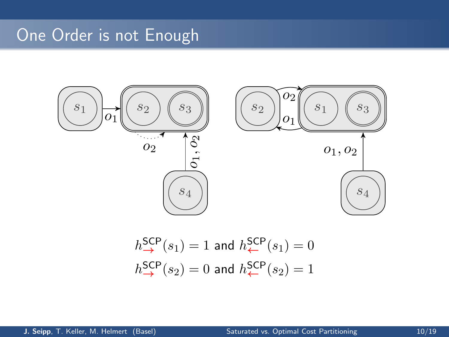## One Order is not Enough



$$
h_{\rightarrow}^{SCP}(s_1) = 1 \text{ and } h_{\leftarrow}^{SCP}(s_1) = 0
$$
  

$$
h_{\rightarrow}^{SCP}(s_2) = 0 \text{ and } h_{\leftarrow}^{SCP}(s_2) = 1
$$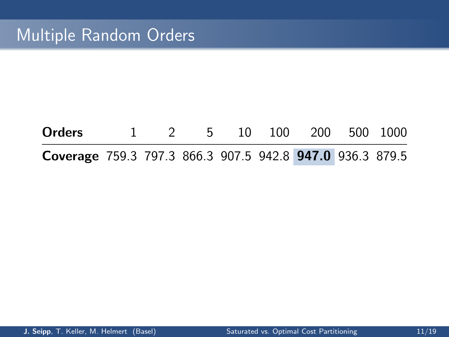| Orders                                                   |  |  | 1 2 5 10 100 200 500 1000 |  |
|----------------------------------------------------------|--|--|---------------------------|--|
| Coverage 759.3 797.3 866.3 907.5 942.8 947.0 936.3 879.5 |  |  |                           |  |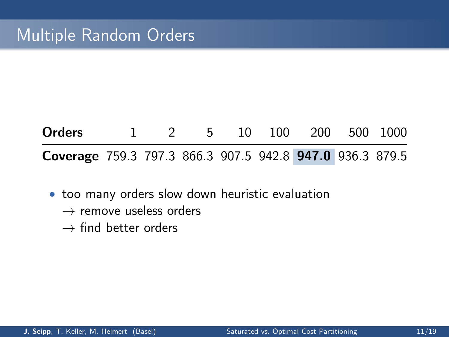## **Orders** 1 2 5 10 100 200 500 1000 Coverage 759.3 797.3 866.3 907.5 942.8 947.0 936.3 879.5

- too many orders slow down heuristic evaluation
	- $\rightarrow$  remove useless orders
	- $\rightarrow$  find better orders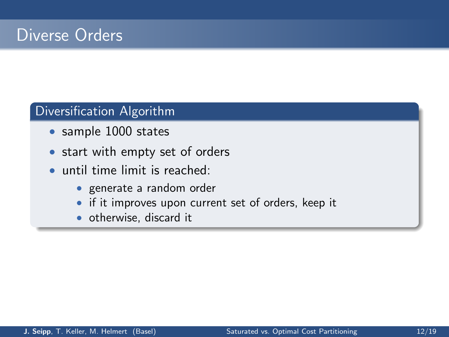## Diverse Orders

### Diversification Algorithm

- sample 1000 states
- start with empty set of orders
- until time limit is reached:
	- generate a random order
	- if it improves upon current set of orders, keep it
	- otherwise, discard it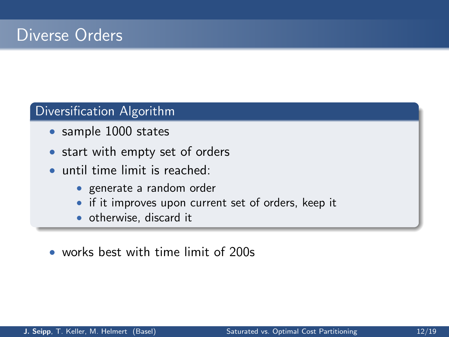## Diverse Orders

#### Diversification Algorithm

- sample 1000 states
- start with empty set of orders
- until time limit is reached:
	- generate a random order
	- if it improves upon current set of orders, keep it
	- otherwise, discard it
- works best with time limit of 200s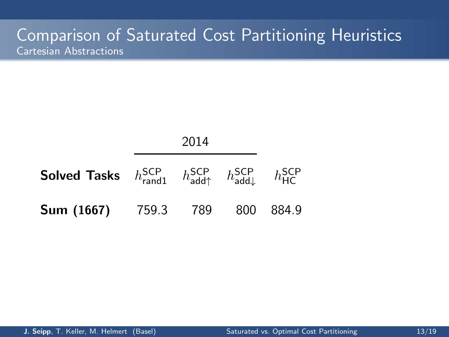| <b>Solved Tasks</b> $h_{\text{rand1}}^{\text{SCP}}$ $h_{\text{add}\uparrow}^{\text{SCP}}$ $h_{\text{add}\downarrow}^{\text{SCP}}$ $h_{\text{HC}}^{\text{SCP}}$ |  |  |  |
|----------------------------------------------------------------------------------------------------------------------------------------------------------------|--|--|--|
| <b>Sum (1667)</b> 759.3 789 800 884.9                                                                                                                          |  |  |  |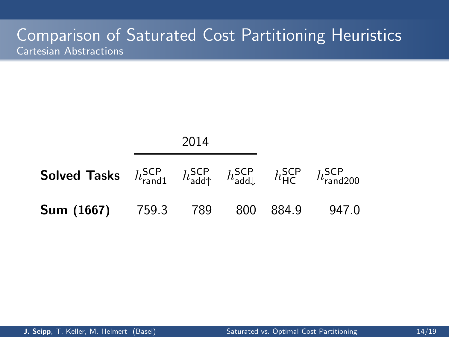|                                                                                                                                                                                                        | 2014 |  |  |
|--------------------------------------------------------------------------------------------------------------------------------------------------------------------------------------------------------|------|--|--|
| <b>Solved Tasks</b> $h_{\text{rand1}}^{\text{SCP}}$ $h_{\text{add}^{\uparrow}}^{\text{SCP}}$ $h_{\text{add}^{\downarrow}}^{\text{SCP}}$ $h_{\text{HC}}^{\text{SCP}}$ $h_{\text{rand200}}^{\text{SCP}}$ |      |  |  |
| <b>Sum (1667)</b> 759.3 789 800 884.9 947.0                                                                                                                                                            |      |  |  |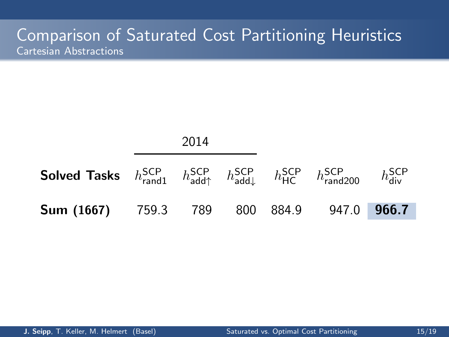|                                                                                                                                            | 2014 |  |  |  |
|--------------------------------------------------------------------------------------------------------------------------------------------|------|--|--|--|
| <b>Solved Tasks</b> $h_{rand1}^{SCP}$ $h_{add\uparrow}^{SCP}$ $h_{add\downarrow}^{SCP}$ $h_{HC}^{SCP}$ $h_{rand200}^{SCP}$ $h_{div}^{SCP}$ |      |  |  |  |
| <b>Sum (1667)</b> 759.3 789 800 884.9 947.0 966.7                                                                                          |      |  |  |  |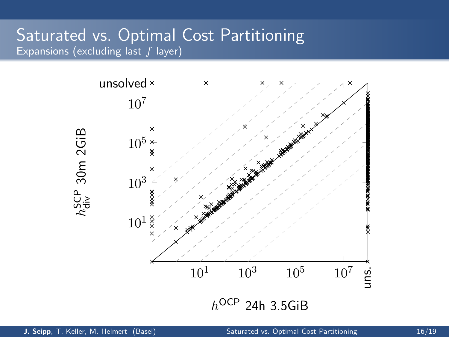### Saturated vs. Optimal Cost Partitioning Expansions (excluding last  $f$  layer)

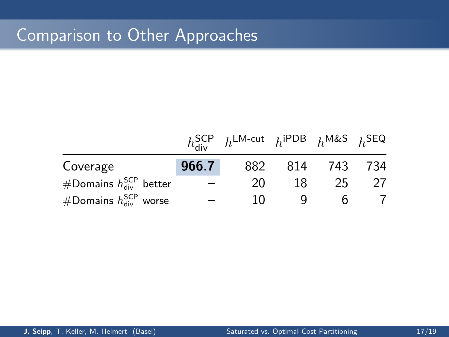## Comparison to Other Approaches

|                                 |       | $h_{\text{div}}^{\text{SCP}}$ $h^{\text{LM-cut}}$ $h^{\text{IPDB}}$ $h^{\text{M&S}}$ $h^{\text{SEQ}}$ |     |     |     |
|---------------------------------|-------|-------------------------------------------------------------------------------------------------------|-----|-----|-----|
| Coverage                        | 966.7 | 882                                                                                                   | 814 | 743 | 734 |
| #Domains $h_{div}^{SCP}$ better |       | 20                                                                                                    | 18  | 25  |     |
| #Domains $h_{div}^{SCP}$ worse  |       | 10                                                                                                    |     |     |     |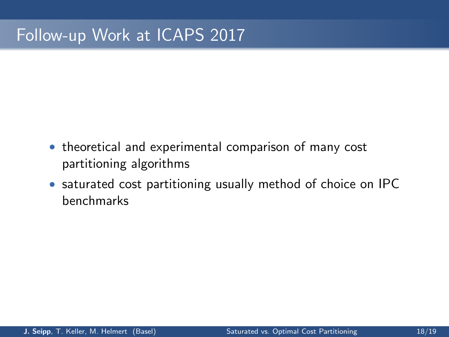## Follow-up Work at ICAPS 2017

- theoretical and experimental comparison of many cost partitioning algorithms
- saturated cost partitioning usually method of choice on IPC benchmarks